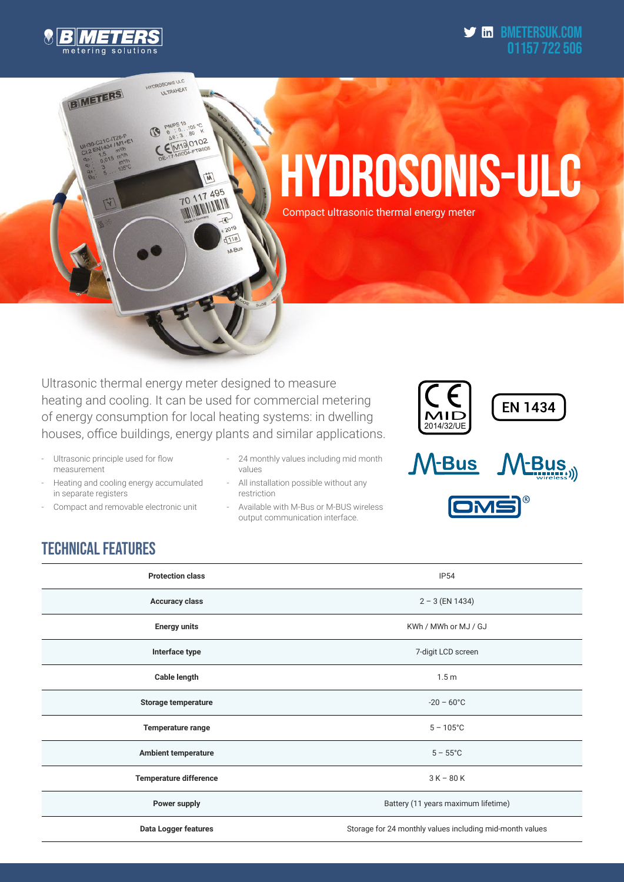

**BIMETERS** 

HYDROSONIS ULC **ULTRAHEAT** 

> $^{6}$ , 105  $8.8.3.0$ ®

> > 節

可 2019  $\sqrt{11a}$ M-But

**70 117 495 70 117 AVAILA** 

CEM190102

#### $\blacktriangleright$  in BMETERSUK.com 01157 722 506

# HYDROSONIS-ULC Compact ultrasonic thermal energy meter

Ultrasonic thermal energy meter designed to measure heating and cooling. It can be used for commercial metering of energy consumption for local heating systems: in dwelling houses, office buildings, energy plants and similar applications.

- Ultrasonic principle used for flow measurement
- Heating and cooling energy accumulated in separate registers
- Compact and removable electronic unit
- 24 monthly values including mid month values
- All installation possible without any restriction
- Available with M-Bus or M-BUS wireless output communication interface.



## TECHNICAL FEATURES

| <b>Protection class</b>       | <b>IP54</b>                                              |  |  |  |
|-------------------------------|----------------------------------------------------------|--|--|--|
| <b>Accuracy class</b>         | $2 - 3$ (EN 1434)                                        |  |  |  |
| <b>Energy units</b>           | KWh / MWh or MJ / GJ                                     |  |  |  |
| Interface type                | 7-digit LCD screen                                       |  |  |  |
| Cable length                  | 1.5 <sub>m</sub>                                         |  |  |  |
| <b>Storage temperature</b>    | $-20 - 60^{\circ}$ C                                     |  |  |  |
| Temperature range             | $5 - 105^{\circ}$ C                                      |  |  |  |
| <b>Ambient temperature</b>    | $5 - 55^{\circ}$ C                                       |  |  |  |
| <b>Temperature difference</b> | $3 K - 80 K$                                             |  |  |  |
| Power supply                  | Battery (11 years maximum lifetime)                      |  |  |  |
| Data Logger features          | Storage for 24 monthly values including mid-month values |  |  |  |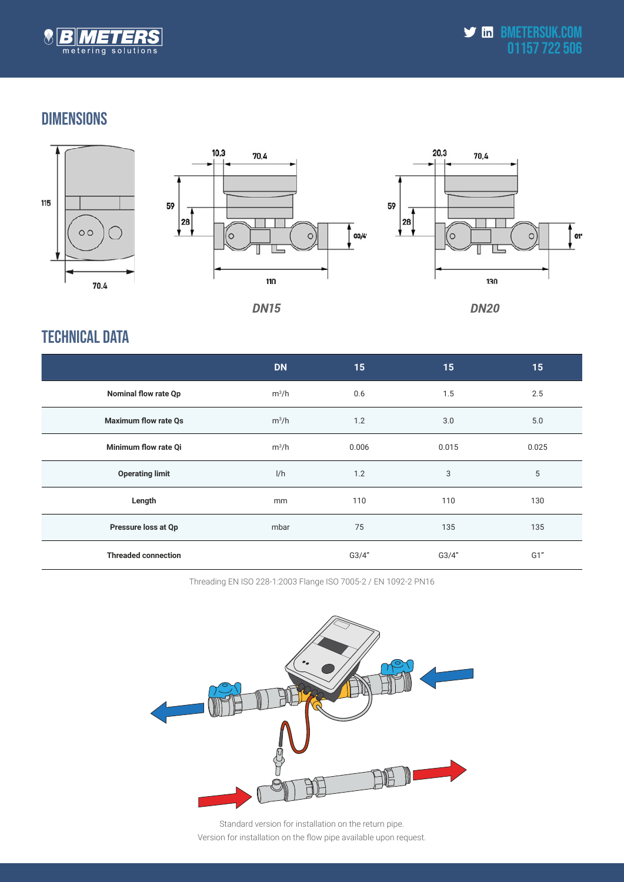

#### DIMENSIONS





10,3



**DN15** 

**DN20** 

### TECHNICAL DATA

|                             | <b>DN</b> | 15    | 15    | 15    |
|-----------------------------|-----------|-------|-------|-------|
| <b>Nominal flow rate Qp</b> | $m^3/h$   | 0.6   | 1.5   | 2.5   |
| <b>Maximum flow rate Qs</b> | $m^3/h$   | 1.2   | 3.0   | 5.0   |
| Minimum flow rate Qi        | $m^3/h$   | 0.006 | 0.015 | 0.025 |
| <b>Operating limit</b>      | 1/h       | 1.2   | 3     | 5     |
| Length                      | mm        | 110   | 110   | 130   |
| Pressure loss at Qp         | mbar      | 75    | 135   | 135   |
| <b>Threaded connection</b>  |           | G3/4" | G3/4" | G1"   |

Threading EN ISO 228-1:2003 Flange ISO 7005-2 / EN 1092-2 PN16



Standard version for installation on the return pipe. Version for installation on the flow pipe available upon request.